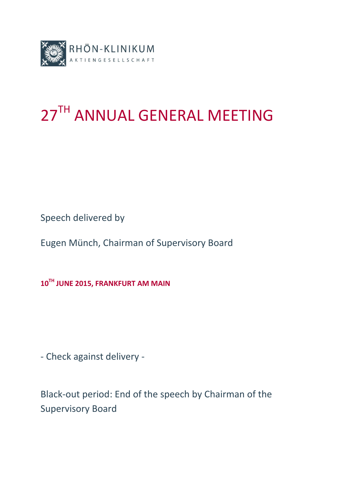

## 27TH ANNUAL GENERAL MEETING

Speech delivered by

Eugen Münch, Chairman of Supervisory Board

**10 TH JUNE 2015, FRANKFURT AM MAIN**

- Check against delivery -

Black-out period: End of the speech by Chairman of the Supervisory Board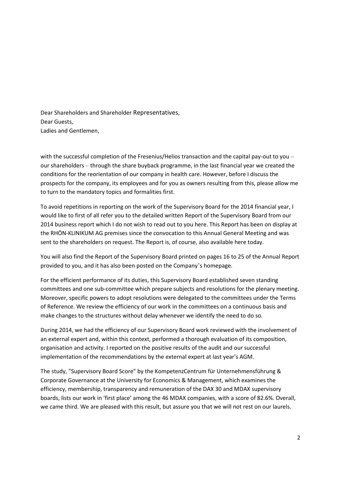Dear Shareholders and Shareholder Representatives, Dear Guests, Ladies and Gentlemen,

with the successful completion of the Fresenius/Helios transaction and the capital pay-out to you – our shareholders – through the share buyback programme, in the last financial year we created the conditions for the reorientation of our company in health care. However, before I discuss the prospects for the company, its employees and for you as owners resulting from this, please allow me to turn to the mandatory topics and formalities first.

To avoid repetitions in reporting on the work of the Supervisory Board for the 2014 financial year, I would like to first of all refer you to the detailed written Report of the Supervisory Board from our 2014 business report which I do not wish to read out to you here. This Report has been on display at the RHÖN-KLINIKUM AG premises since the convocation to this Annual General Meeting and was sent to the shareholders on request. The Report is, of course, also available here today.

You will also find the Report of the Supervisory Board printed on pages 16 to 25 of the Annual Report provided to you, and it has also been posted on the Company's homepage.

For the efficient performance of its duties, this Supervisory Board established seven standing committees and one sub-committee which prepare subjects and resolutions for the plenary meeting. Moreover, specific powers to adopt resolutions were delegated to the committees under the Terms of Reference. We review the efficiency of our work in the committees on a continuous basis and make changes to the structures without delay whenever we identify the need to do so.

During 2014, we had the efficiency of our Supervisory Board work reviewed with the involvement of an external expert and, within this context, performed a thorough evaluation of its composition, organisation and activity. I reported on the positive results of the audit and our successful implementation of the recommendations by the external expert at last year's AGM.

The study, "Supervisory Board Score" by the KompetenzCentrum für Unternehmensführung & Corporate Governance at the University for Economics & Management, which examines the efficiency, membership, transparency and remuneration of the DAX 30 and MDAX supervisory boards, lists our work in 'first place' among the 46 MDAX companies, with a score of 82.6%. Overall, we came third. We are pleased with this result, but assure you that we will not rest on our laurels.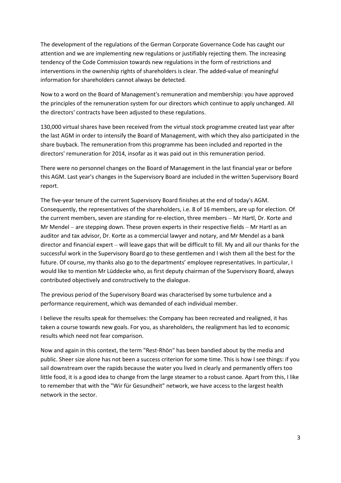The development of the regulations of the German Corporate Governance Code has caught our attention and we are implementing new regulations or justifiably rejecting them. The increasing tendency of the Code Commission towards new regulations in the form of restrictions and interventions in the ownership rights of shareholders is clear. The added-value of meaningful information for shareholders cannot always be detected.

Now to a word on the Board of Management's remuneration and membership: you have approved the principles of the remuneration system for our directors which continue to apply unchanged. All the directors' contracts have been adjusted to these regulations.

130,000 virtual shares have been received from the virtual stock programme created last year after the last AGM in order to intensify the Board of Management, with which they also participated in the share buyback. The remuneration from this programme has been included and reported in the directors' remuneration for 2014, insofar as it was paid out in this remuneration period.

There were no personnel changes on the Board of Management in the last financial year or before this AGM. Last year's changes in the Supervisory Board are included in the written Supervisory Board report.

The five-year tenure of the current Supervisory Board finishes at the end of today's AGM. Consequently, the representatives of the shareholders, i.e. 8 of 16 members, are up for election. Of the current members, seven are standing for re-election, three members – Mr Hartl, Dr. Korte and Mr Mendel – are stepping down. These proven experts in their respective fields – Mr Hartl as an auditor and tax advisor, Dr. Korte as a commercial lawyer and notary, and Mr Mendel as a bank director and financial expert – will leave gaps that will be difficult to fill. My and all our thanks for the successful work in the Supervisory Board go to these gentlemen and I wish them all the best for the future. Of course, my thanks also go to the departments' employee representatives. In particular, I would like to mention Mr Lüddecke who, as first deputy chairman of the Supervisory Board, always contributed objectively and constructively to the dialogue.

The previous period of the Supervisory Board was characterised by some turbulence and a performance requirement, which was demanded of each individual member.

I believe the results speak for themselves: the Company has been recreated and realigned, it has taken a course towards new goals. For you, as shareholders, the realignment has led to economic results which need not fear comparison.

Now and again in this context, the term "Rest-Rhön" has been bandied about by the media and public. Sheer size alone has not been a success criterion for some time. This is how I see things: if you sail downstream over the rapids because the water you lived in clearly and permanently offers too little food, it is a good idea to change from the large steamer to a robust canoe. Apart from this, I like to remember that with the "Wir für Gesundheit" network, we have access to the largest health network in the sector.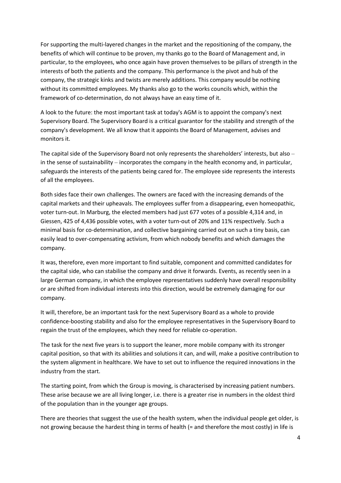For supporting the multi-layered changes in the market and the repositioning of the company, the benefits of which will continue to be proven, my thanks go to the Board of Management and, in particular, to the employees, who once again have proven themselves to be pillars of strength in the interests of both the patients and the company. This performance is the pivot and hub of the company, the strategic kinks and twists are merely additions. This company would be nothing without its committed employees. My thanks also go to the works councils which, within the framework of co-determination, do not always have an easy time of it.

A look to the future: the most important task at today's AGM is to appoint the company's next Supervisory Board. The Supervisory Board is a critical guarantor for the stability and strength of the company's development. We all know that it appoints the Board of Management, advises and monitors it.

The capital side of the Supervisory Board not only represents the shareholders' interests, but also – in the sense of sustainability – incorporates the company in the health economy and, in particular, safeguards the interests of the patients being cared for. The employee side represents the interests of all the employees.

Both sides face their own challenges. The owners are faced with the increasing demands of the capital markets and their upheavals. The employees suffer from a disappearing, even homeopathic, voter turn-out. In Marburg, the elected members had just 677 votes of a possible 4,314 and, in Giessen, 425 of 4,436 possible votes, with a voter turn-out of 20% and 11% respectively. Such a minimal basis for co-determination, and collective bargaining carried out on such a tiny basis, can easily lead to over-compensating activism, from which nobody benefits and which damages the company.

It was, therefore, even more important to find suitable, component and committed candidates for the capital side, who can stabilise the company and drive it forwards. Events, as recently seen in a large German company, in which the employee representatives suddenly have overall responsibility or are shifted from individual interests into this direction, would be extremely damaging for our company.

It will, therefore, be an important task for the next Supervisory Board as a whole to provide confidence-boosting stability and also for the employee representatives in the Supervisory Board to regain the trust of the employees, which they need for reliable co-operation.

The task for the next five years is to support the leaner, more mobile company with its stronger capital position, so that with its abilities and solutions it can, and will, make a positive contribution to the system alignment in healthcare. We have to set out to influence the required innovations in the industry from the start.

The starting point, from which the Group is moving, is characterised by increasing patient numbers. These arise because we are all living longer, i.e. there is a greater rise in numbers in the oldest third of the population than in the younger age groups.

There are theories that suggest the use of the health system, when the individual people get older, is not growing because the hardest thing in terms of health (= and therefore the most costly) in life is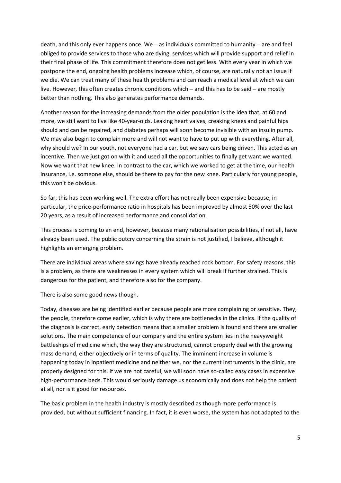death, and this only ever happens once. We  $-$  as individuals committed to humanity  $-$  are and feel obliged to provide services to those who are dying, services which will provide support and relief in their final phase of life. This commitment therefore does not get less. With every year in which we postpone the end, ongoing health problems increase which, of course, are naturally not an issue if we die. We can treat many of these health problems and can reach a medical level at which we can live. However, this often creates chronic conditions which – and this has to be said – are mostly better than nothing. This also generates performance demands.

Another reason for the increasing demands from the older population is the idea that, at 60 and more, we still want to live like 40-year-olds. Leaking heart valves, creaking knees and painful hips should and can be repaired, and diabetes perhaps will soon become invisible with an insulin pump. We may also begin to complain more and will not want to have to put up with everything. After all, why should we? In our youth, not everyone had a car, but we saw cars being driven. This acted as an incentive. Then we just got on with it and used all the opportunities to finally get want we wanted. Now we want that new knee. In contrast to the car, which we worked to get at the time, our health insurance, i.e. someone else, should be there to pay for the new knee. Particularly for young people, this won't be obvious.

So far, this has been working well. The extra effort has not really been expensive because, in particular, the price-performance ratio in hospitals has been improved by almost 50% over the last 20 years, as a result of increased performance and consolidation.

This process is coming to an end, however, because many rationalisation possibilities, if not all, have already been used. The public outcry concerning the strain is not justified, I believe, although it highlights an emerging problem.

There are individual areas where savings have already reached rock bottom. For safety reasons, this is a problem, as there are weaknesses in every system which will break if further strained. This is dangerous for the patient, and therefore also for the company.

There is also some good news though.

Today, diseases are being identified earlier because people are more complaining or sensitive. They, the people, therefore come earlier, which is why there are bottlenecks in the clinics. If the quality of the diagnosis is correct, early detection means that a smaller problem is found and there are smaller solutions. The main competence of our company and the entire system lies in the heavyweight battleships of medicine which, the way they are structured, cannot properly deal with the growing mass demand, either objectively or in terms of quality. The imminent increase in volume is happening today in inpatient medicine and neither we, nor the current instruments in the clinic, are properly designed for this. If we are not careful, we will soon have so-called easy cases in expensive high-performance beds. This would seriously damage us economically and does not help the patient at all, nor is it good for resources.

The basic problem in the health industry is mostly described as though more performance is provided, but without sufficient financing. In fact, it is even worse, the system has not adapted to the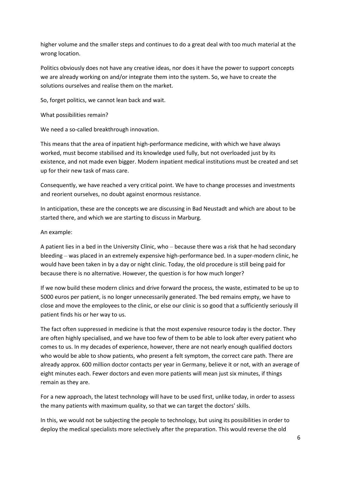higher volume and the smaller steps and continues to do a great deal with too much material at the wrong location.

Politics obviously does not have any creative ideas, nor does it have the power to support concepts we are already working on and/or integrate them into the system. So, we have to create the solutions ourselves and realise them on the market.

So, forget politics, we cannot lean back and wait.

What possibilities remain?

We need a so-called breakthrough innovation.

This means that the area of inpatient high-performance medicine, with which we have always worked, must become stabilised and its knowledge used fully, but not overloaded just by its existence, and not made even bigger. Modern inpatient medical institutions must be created and set up for their new task of mass care.

Consequently, we have reached a very critical point. We have to change processes and investments and reorient ourselves, no doubt against enormous resistance.

In anticipation, these are the concepts we are discussing in Bad Neustadt and which are about to be started there, and which we are starting to discuss in Marburg.

## An example:

A patient lies in a bed in the University Clinic, who – because there was a risk that he had secondary bleeding – was placed in an extremely expensive high-performance bed. In a super-modern clinic, he would have been taken in by a day or night clinic. Today, the old procedure is still being paid for because there is no alternative. However, the question is for how much longer?

If we now build these modern clinics and drive forward the process, the waste, estimated to be up to 5000 euros per patient, is no longer unnecessarily generated. The bed remains empty, we have to close and move the employees to the clinic, or else our clinic is so good that a sufficiently seriously ill patient finds his or her way to us.

The fact often suppressed in medicine is that the most expensive resource today is the doctor. They are often highly specialised, and we have too few of them to be able to look after every patient who comes to us. In my decades of experience, however, there are not nearly enough qualified doctors who would be able to show patients, who present a felt symptom, the correct care path. There are already approx. 600 million doctor contacts per year in Germany, believe it or not, with an average of eight minutes each. Fewer doctors and even more patients will mean just six minutes, if things remain as they are.

For a new approach, the latest technology will have to be used first, unlike today, in order to assess the many patients with maximum quality, so that we can target the doctors' skills.

In this, we would not be subjecting the people to technology, but using its possibilities in order to deploy the medical specialists more selectively after the preparation. This would reverse the old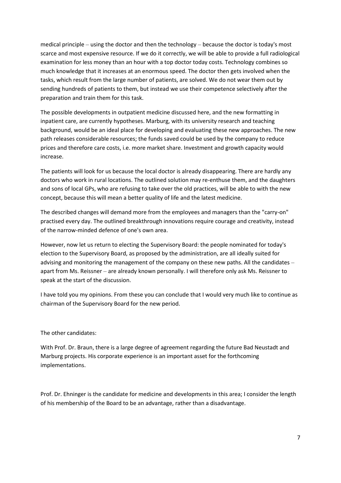medical principle – using the doctor and then the technology – because the doctor is today's most scarce and most expensive resource. If we do it correctly, we will be able to provide a full radiological examination for less money than an hour with a top doctor today costs. Technology combines so much knowledge that it increases at an enormous speed. The doctor then gets involved when the tasks, which result from the large number of patients, are solved. We do not wear them out by sending hundreds of patients to them, but instead we use their competence selectively after the preparation and train them for this task.

The possible developments in outpatient medicine discussed here, and the new formatting in inpatient care, are currently hypotheses. Marburg, with its university research and teaching background, would be an ideal place for developing and evaluating these new approaches. The new path releases considerable resources; the funds saved could be used by the company to reduce prices and therefore care costs, i.e. more market share. Investment and growth capacity would increase.

The patients will look for us because the local doctor is already disappearing. There are hardly any doctors who work in rural locations. The outlined solution may re-enthuse them, and the daughters and sons of local GPs, who are refusing to take over the old practices, will be able to with the new concept, because this will mean a better quality of life and the latest medicine.

The described changes will demand more from the employees and managers than the "carry-on" practised every day. The outlined breakthrough innovations require courage and creativity, instead of the narrow-minded defence of one's own area.

However, now let us return to electing the Supervisory Board: the people nominated for today's election to the Supervisory Board, as proposed by the administration, are all ideally suited for advising and monitoring the management of the company on these new paths. All the candidates – apart from Ms. Reissner – are already known personally. I will therefore only ask Ms. Reissner to speak at the start of the discussion.

I have told you my opinions. From these you can conclude that I would very much like to continue as chairman of the Supervisory Board for the new period.

The other candidates:

With Prof. Dr. Braun, there is a large degree of agreement regarding the future Bad Neustadt and Marburg projects. His corporate experience is an important asset for the forthcoming implementations.

Prof. Dr. Ehninger is the candidate for medicine and developments in this area; I consider the length of his membership of the Board to be an advantage, rather than a disadvantage.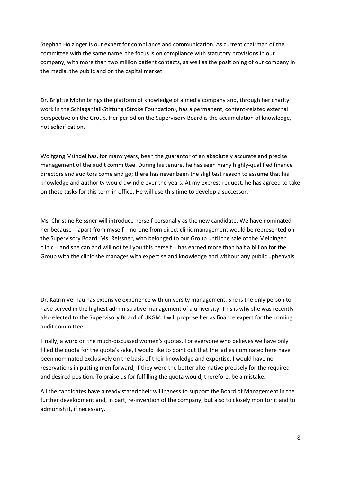Stephan Holzinger is our expert for compliance and communication. As current chairman of the committee with the same name, the focus is on compliance with statutory provisions in our company, with more than two million patient contacts, as well as the positioning of our company in the media, the public and on the capital market.

Dr. Brigitte Mohn brings the platform of knowledge of a media company and, through her charity work in the Schlaganfall-Stiftung (Stroke Foundation), has a permanent, content-related external perspective on the Group. Her period on the Supervisory Board is the accumulation of knowledge, not solidification.

Wolfgang Mündel has, for many years, been the guarantor of an absolutely accurate and precise management of the audit committee. During his tenure, he has seen many highly-qualified finance directors and auditors come and go; there has never been the slightest reason to assume that his knowledge and authority would dwindle over the years. At my express request, he has agreed to take on these tasks for this term in office. He will use this time to develop a successor.

Ms. Christine Reissner will introduce herself personally as the new candidate. We have nominated her because – apart from myself – no-one from direct clinic management would be represented on the Supervisory Board. Ms. Reissner, who belonged to our Group until the sale of the Meiningen clinic – and she can and will not tell you this herself – has earned more than half a billion for the Group with the clinic she manages with expertise and knowledge and without any public upheavals.

Dr. Katrin Vernau has extensive experience with university management. She is the only person to have served in the highest administrative management of a university. This is why she was recently also elected to the Supervisory Board of UKGM. I will propose her as finance expert for the coming audit committee.

Finally, a word on the much-discussed women's quotas. For everyone who believes we have only filled the quota for the quota's sake, I would like to point out that the ladies nominated here have been nominated exclusively on the basis of their knowledge and expertise. I would have no reservations in putting men forward, if they were the better alternative precisely for the required and desired position. To praise us for fulfilling the quota would, therefore, be a mistake.

All the candidates have already stated their willingness to support the Board of Management in the further development and, in part, re-invention of the company, but also to closely monitor it and to admonish it, if necessary.